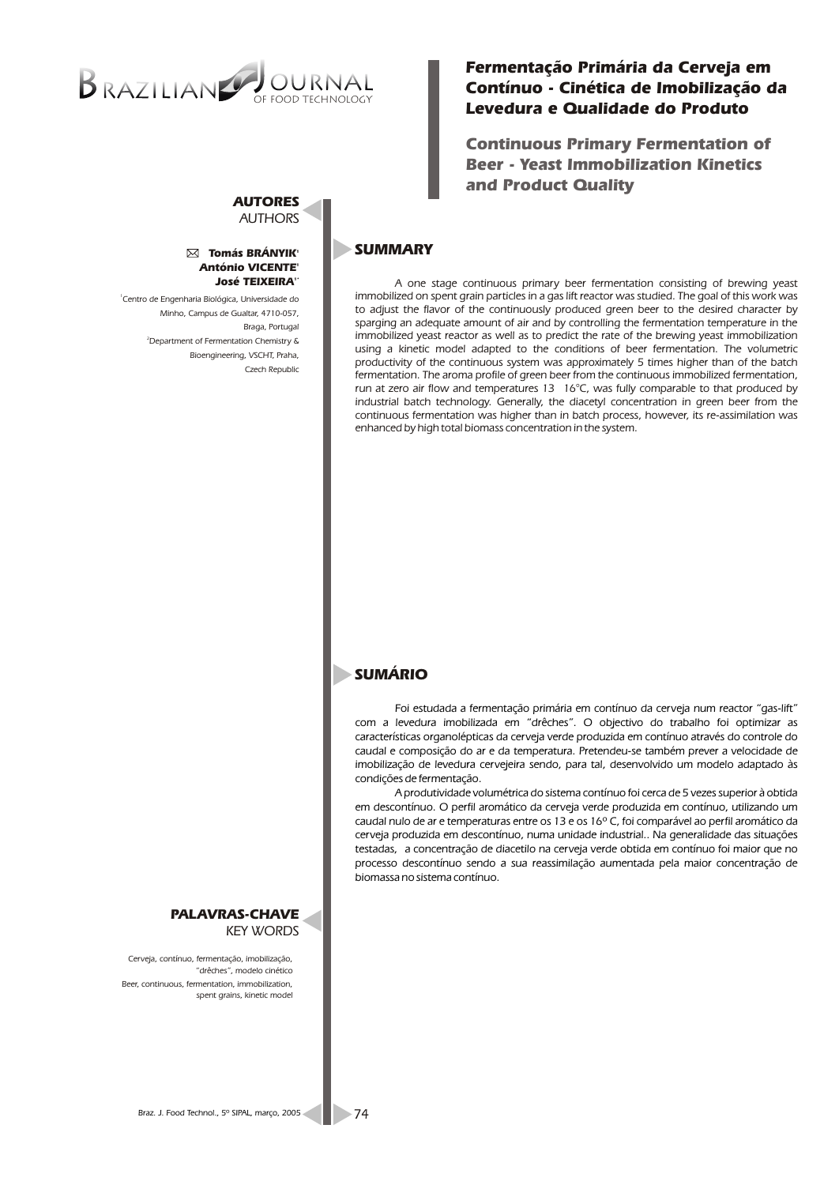# $B$ RAZILIAN $\triangledown$ OF FOOD TECHNOLOGY

# *Fermentação Primária da Cerveja em Contínuo - Cinética de Imobilização da Levedura e Qualidade do Produto*

*Continuous Primary Fermentation of Beer - Yeast Immobilization Kinetics and Product Quality* 

#### *AUTORES AUTHORS*

#### *<sup>1</sup> Tomás BRÁNYIK <sup>1</sup> António VICENTE 1\* José TEIXEIRA*

*1 Centro de Engenharia Biológica, Universidade do Minho, Campus de Gualtar, 4710-057, Braga, Portugal <sup>2</sup>Department of Fermentation Chemistry & Bioengineering, VSCHT, Praha, Czech Republic*

## *PALAVRAS-CHAVE KEY WORDS*

*Cerveja, contínuo, fermentação, imobilização, "drêches", modelo cinético Beer, continuous, fermentation, immobilization, spent grains, kinetic model*

# *SUMMARY*

*A one stage continuous primary beer fermentation consisting of brewing yeast immobilized on spent grain particles in a gas lift reactor was studied. The goal of this work was to adjust the flavor of the continuously produced green beer to the desired character by sparging an adequate amount of air and by controlling the fermentation temperature in the immobilized yeast reactor as well as to predict the rate of the brewing yeast immobilization using a kinetic model adapted to the conditions of beer fermentation. The volumetric productivity of the continuous system was approximately 5 times higher than of the batch fermentation. The aroma profile of green beer from the continuous immobilized fermentation, run at zero air flow and temperatures 13 16°C, was fully comparable to that produced by industrial batch technology. Generally, the diacetyl concentration in green beer from the continuous fermentation was higher than in batch process, however, its re-assimilation was enhanced by high total biomass concentration in the system.* 

# *SUMÁRIO*

*Foi estudada a fermentação primária em contínuo da cerveja num reactor "gas-lift" com a levedura imobilizada em "drêches". O objectivo do trabalho foi optimizar as características organolépticas da cerveja verde produzida em contínuo através do controle do caudal e composição do ar e da temperatura. Pretendeu-se também prever a velocidade de imobilização de levedura cervejeira sendo, para tal, desenvolvido um modelo adaptado às condições de fermentação.*

*A produtividade volumétrica do sistema contínuo foi cerca de 5 vezes superior à obtida em descontínuo. O perfil aromático da cerveja verde produzida em contínuo, utilizando um caudal nulo de ar e temperaturas entre os 13 e os 16º C, foi comparável ao perfil aromático da cerveja produzida em descontínuo, numa unidade industrial.. Na generalidade das situações testadas, a concentração de diacetilo na cerveja verde obtida em contínuo foi maior que no processo descontínuo sendo a sua reassimilação aumentada pela maior concentração de biomassa no sistema contínuo.*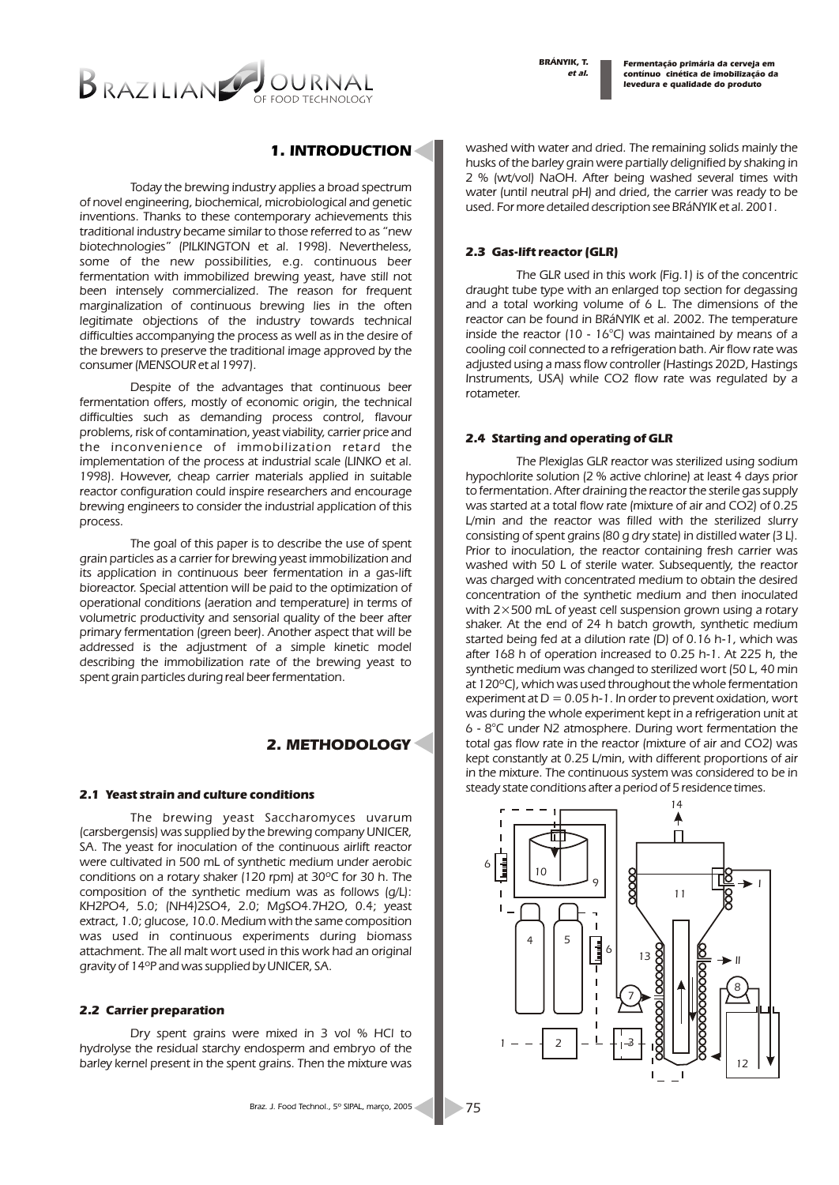*et al. BRÁNYIK, T.*

*Fermentação primária da cerveja em contínuo cinética de imobilização da levedura e qualidade do produto*



# *1. INTRODUCTION*

*Today the brewing industry applies a broad spectrum of novel engineering, biochemical, microbiological and genetic inventions. Thanks to these contemporary achievements this traditional industry became similar to those referred to as "new biotechnologies" (PILKINGTON et al. 1998). Nevertheless, some of the new possibilities, e.g. continuous beer fermentation with immobilized brewing yeast, have still not been intensely commercialized. The reason for frequent marginalization of continuous brewing lies in the often legitimate objections of the industry towards technical difficulties accompanying the process as well as in the desire of the brewers to preserve the traditional image approved by the consumer (MENSOUR et al 1997).* 

*Despite of the advantages that continuous beer fermentation offers, mostly of economic origin, the technical difficulties such as demanding process control, flavour problems, risk of contamination, yeast viability, carrier price and the inconvenience of immobilization retard the implementation of the process at industrial scale (LINKO et al. 1998). However, cheap carrier materials applied in suitable reactor configuration could inspire researchers and encourage brewing engineers to consider the industrial application of this process.*

*The goal of this paper is to describe the use of spent grain particles as a carrier for brewing yeast immobilization and its application in continuous beer fermentation in a gas-lift bioreactor. Special attention will be paid to the optimization of operational conditions (aeration and temperature) in terms of*  volumetric productivity and sensorial quality of the beer after *primary fermentation (green beer). Another aspect that will be addressed is the adjustment of a simple kinetic model describing the immobilization rate of the brewing yeast to spent grain particles during real beer fermentation.*

# *2. METHODOLOGY*

#### *2.1 Yeast strain and culture conditions*

*The brewing yeast Saccharomyces uvarum (carsbergensis) was supplied by the brewing company UNICER, SA. The yeast for inoculation of the continuous airlift reactor were cultivated in 500 mL of synthetic medium under aerobic conditions on a rotary shaker (120 rpm) at 30ºC for 30 h. The composition of the synthetic medium was as follows (g/L): KH2PO4, 5.0; (NH4)2SO4, 2.0; MgSO4.7H2O, 0.4; yeast extract, 1.0; glucose, 10.0. Medium with the same composition was used in continuous experiments during biomass attachment. The all malt wort used in this work had an original gravity of 14ºP and was supplied by UNICER, SA.*

#### *2.2 Carrier preparation*

*Dry spent grains were mixed in 3 vol % HCl to hydrolyse the residual starchy endosperm and embryo of the barley kernel present in the spent grains. Then the mixture was* 

*75*

*washed with water and dried. The remaining solids mainly the husks of the barley grain were partially delignified by shaking in 2 % (wt/vol) NaOH. After being washed several times with water (until neutral pH) and dried, the carrier was ready to be used. For more detailed description see BRáNYIK et al. 2001.*

#### *2.3 Gas-lift reactor (GLR)*

*The GLR used in this work (Fig.1) is of the concentric draught tube type with an enlarged top section for degassing and a total working volume of 6 L. The dimensions of the reactor can be found in BRáNYIK et al. 2002. The temperature inside the reactor (10 - 16°C) was maintained by means of a cooling coil connected to a refrigeration bath. Air flow rate was adjusted using a mass flow controller (Hastings 202D, Hastings Instruments, USA) while CO2 flow rate was regulated by a rotameter.* 

#### *2.4 Starting and operating of GLR*

*The Plexiglas GLR reactor was sterilized using sodium hypochlorite solution (2 % active chlorine) at least 4 days prior to fermentation. After draining the reactor the sterile gas supply was started at a total flow rate (mixture of air and CO2) of 0.25 L/min and the reactor was filled with the sterilized slurry consisting of spent grains (80 g dry state) in distilled water (3 L). Prior to inoculation, the reactor containing fresh carrier was washed with 50 L of sterile water. Subsequently, the reactor was charged with concentrated medium to obtain the desired concentration of the synthetic medium and then inoculated with 2×500 mL of yeast cell suspension grown using a rotary shaker. At the end of 24 h batch growth, synthetic medium started being fed at a dilution rate (D) of 0.16 h-1, which was after 168 h of operation increased to 0.25 h-1. At 225 h, the synthetic medium was changed to sterilized wort (50 L, 40 min at 120ºC), which was used throughout the whole fermentation experiment at D = 0.05 h-1. In order to prevent oxidation, wort was during the whole experiment kept in a refrigeration unit at 6 - 8°C under N2 atmosphere. During wort fermentation the total gas flow rate in the reactor (mixture of air and CO2) was kept constantly at 0.25 L/min, with different proportions of air in the mixture. The continuous system was considered to be in steady state conditions after a period of 5 residence times.*

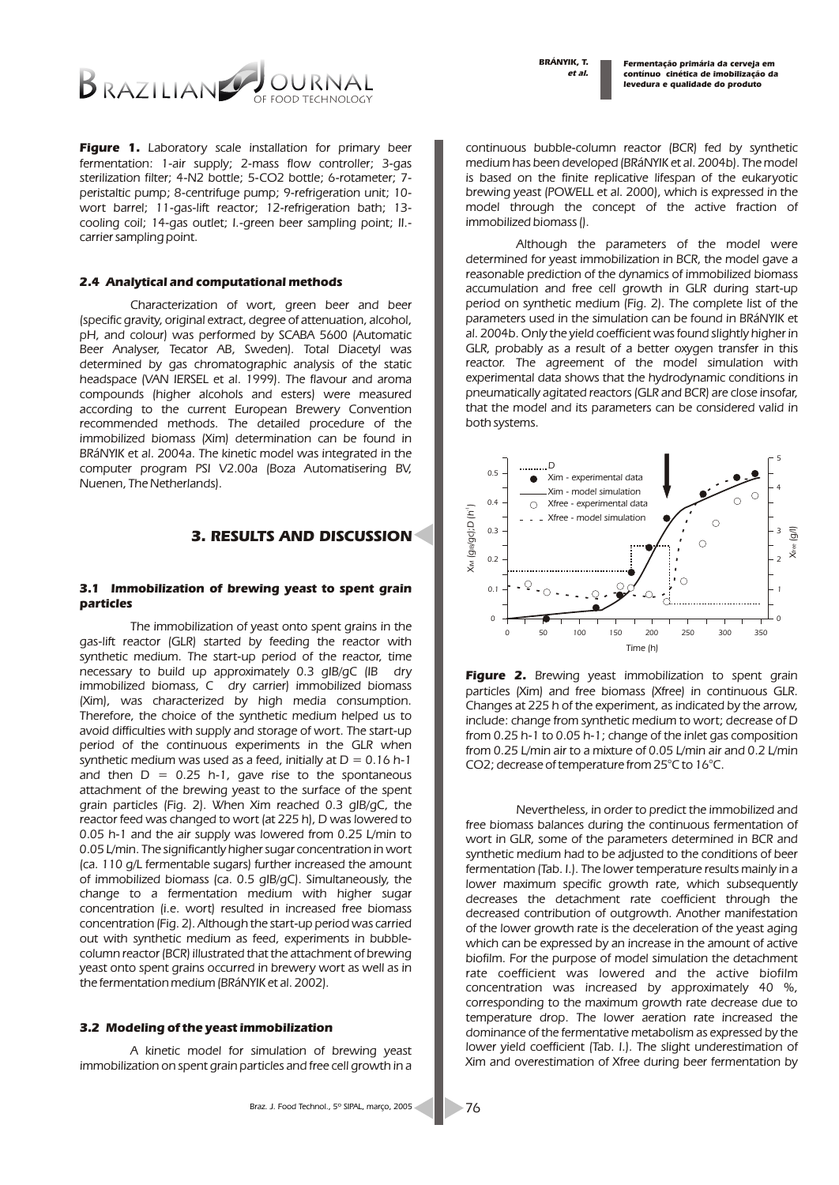*et al. BRÁNYIK, T.*

*Fermentação primária da cerveja em contínuo cinética de imobilização da levedura e qualidade do produto*



*Figure 1. Laboratory scale installation for primary beer fermentation: 1-air supply; 2-mass flow controller; 3-gas sterilization filter; 4-N2 bottle; 5-CO2 bottle; 6-rotameter; 7 peristaltic pump; 8-centrifuge pump; 9-refrigeration unit; 10 wort barrel; 11-gas-lift reactor; 12-refrigeration bath; 13 cooling coil; 14-gas outlet; I.-green beer sampling point; II. carrier sampling point.*

#### *2.4 Analytical and computational methods*

*Characterization of wort, green beer and beer (specific gravity, original extract, degree of attenuation, alcohol, pH, and colour) was performed by SCABA 5600 (Automatic Beer Analyser, Tecator AB, Sweden). Total Diacetyl was determined by gas chromatographic analysis of the static headspace (VAN IERSEL et al. 1999). The flavour and aroma compounds (higher alcohols and esters) were measured according to the current European Brewery Convention recommended methods. The detailed procedure of the immobilized biomass (Xim) determination can be found in BRáNYIK et al. 2004a. The kinetic model was integrated in the computer program PSI V2.00a (Boza Automatisering BV, Nuenen, The Netherlands).*

### *3. RESULTS AND DISCUSSION*

#### *3.1 Immobilization of brewing yeast to spent grain particles*

*The immobilization of yeast onto spent grains in the gas-lift reactor (GLR) started by feeding the reactor with*  synthetic medium. The start-up period of the reactor, time *necessary to build up approximately 0.3 gIB/gC (IB dry immobilized biomass, C dry carrier) immobilized biomass (Xim), was characterized by high media consumption. Therefore, the choice of the synthetic medium helped us to avoid difficulties with supply and storage of wort. The start-up period of the continuous experiments in the GLR when synthetic medium was used as a feed, initially at D = 0.16 h-1 and then D = 0.25 h-1, gave rise to the spontaneous attachment of the brewing yeast to the surface of the spent grain particles (Fig. 2). When Xim reached 0.3 gIB/gC, the reactor feed was changed to wort (at 225 h), D was lowered to 0.05 h-1 and the air supply was lowered from 0.25 L/min to 0.05 L/min. The significantly higher sugar concentration in wort (ca. 110 g/L fermentable sugars) further increased the amount of immobilized biomass (ca. 0.5 gIB/gC). Simultaneously, the change to a fermentation medium with higher sugar concentration (i.e. wort) resulted in increased free biomass concentration (Fig. 2). Although the start-up period was carried out with synthetic medium as feed, experiments in bubblecolumn reactor (BCR) illustrated that the attachment of brewing yeast onto spent grains occurred in brewery wort as well as in the fermentation medium (BRáNYIK et al. 2002).*

#### *3.2 Modeling of the yeast immobilization*

*A kinetic model for simulation of brewing yeast immobilization on spent grain particles and free cell growth in a* 

*Although the parameters of the model were determined for yeast immobilization in BCR, the model gave a reasonable prediction of the dynamics of immobilized biomass accumulation and free cell growth in GLR during start-up period on synthetic medium (Fig. 2). The complete list of the parameters used in the simulation can be found in BRáNYIK et al. 2004b. Only the yield coefficient was found slightly higher in GLR, probably as a result of a better oxygen transfer in this reactor. The agreement of the model simulation with experimental data shows that the hydrodynamic conditions in pneumatically agitated reactors (GLR and BCR) are close insofar, that the model and its parameters can be considered valid in both systems.* 



*Figure 2. Brewing yeast immobilization to spent grain particles (Xim) and free biomass (Xfree) in continuous GLR. Changes at 225 h of the experiment, as indicated by the arrow, include: change from synthetic medium to wort; decrease of D from 0.25 h-1 to 0.05 h-1; change of the inlet gas composition from 0.25 L/min air to a mixture of 0.05 L/min air and 0.2 L/min CO2; decrease of temperature from 25°C to 16°C.* 

*Nevertheless, in order to predict the immobilized and free biomass balances during the continuous fermentation of wort in GLR, some of the parameters determined in BCR and synthetic medium had to be adjusted to the conditions of beer fermentation (Tab. I.). The lower temperature results mainly in a*  lower maximum specific growth rate, which subsequently *decreases the detachment rate coefficient through the decreased contribution of outgrowth. Another manifestation of the lower growth rate is the deceleration of the yeast aging which can be expressed by an increase in the amount of active biofilm. For the purpose of model simulation the detachment rate coefficient was lowered and the active biofilm concentration was increased by approximately 40 %, corresponding to the maximum growth rate decrease due to temperature drop. The lower aeration rate increased the dominance of the fermentative metabolism as expressed by the*  lower yield coefficient (Tab. I.). The slight underestimation of *Xim and overestimation of Xfree during beer fermentation by*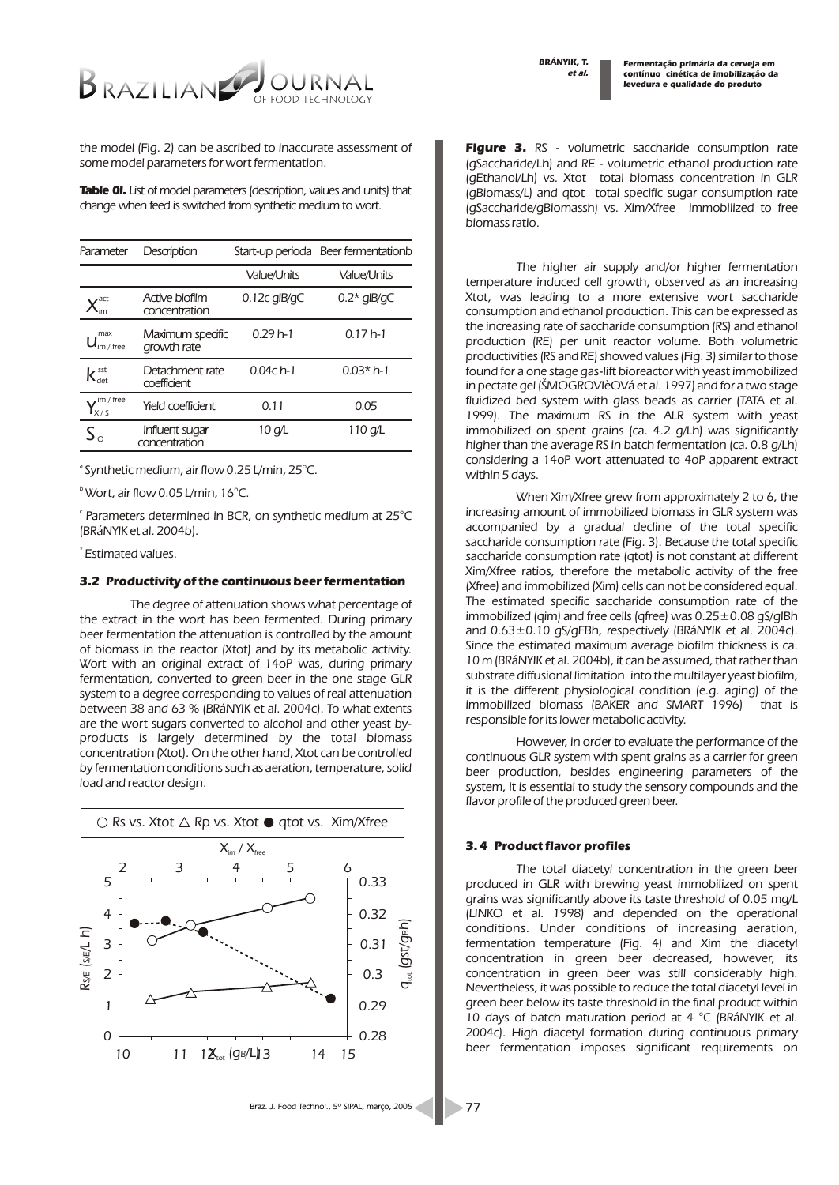*Fermentação primária da cerveja em contínuo cinética de imobilização da levedura e qualidade do produto*



*the model (Fig. 2) can be ascribed to inaccurate assessment of some model parameters for wort fermentation.*

*Table 0I. List of model parameters (description, values and units) that change when feed is switched from synthetic medium to wort.*

| Parameter                               | Description                     |                    | Start-up perioda Beer fermentationb |
|-----------------------------------------|---------------------------------|--------------------|-------------------------------------|
|                                         |                                 | <b>Value/Units</b> | <b>Value/Units</b>                  |
|                                         | Active biofilm<br>concentration | $0.12c$ alB/aC     | $0.2*$ qlB/qC                       |
| max<br>$J_{\text{im}/\text{free}}$      | Maximum specific<br>growth rate | $0.29h-1$          | $0.17h-1$                           |
| $K_{\text{det}}^{\text{sst}}$           | Detachment rate<br>coefficient  | $0.04c$ h-1        | $0.03*h-1$                          |
| $\sqrt{m}$ / free<br>$\mathbf{I}_{x/s}$ | Yield coefficient               | 0.11               | 0.05                                |
| $S_{\Omega}$                            | Influent sugar<br>concentration | 10 a/L             | 110 a/L                             |

*a Synthetic medium, air flow 0.25 L/min, 25°C.*

*b Wort, air flow 0.05 L/min, 16°C.*

*c Parameters determined in BCR, on synthetic medium at 25°C (BRáNYIK et al. 2004b).*

*\* Estimated values.*

#### *3.2 Productivity of the continuous beer fermentation*

*The degree of attenuation shows what percentage of the extract in the wort has been fermented. During primary beer fermentation the attenuation is controlled by the amount of biomass in the reactor (Xtot) and by its metabolic activity. Wort with an original extract of 14oP was, during primary fermentation, converted to green beer in the one stage GLR system to a degree corresponding to values of real attenuation between 38 and 63 % (BRáNYIK et al. 2004c). To what extents are the wort sugars converted to alcohol and other yeast byproducts is largely determined by the total biomass concentration (Xtot). On the other hand, Xtot can be controlled by fermentation conditions such as aeration, temperature, solid load and reactor design.*



*Figure 3. RS - volumetric saccharide consumption rate (gSaccharide/Lh) and RE - volumetric ethanol production rate (gEthanol/Lh) vs. Xtot total biomass concentration in GLR (gBiomass/L) and qtot total specific sugar consumption rate (gSaccharide/gBiomassh) vs. Xim/Xfree immobilized to free biomass ratio.*

*The higher air supply and/or higher fermentation temperature induced cell growth, observed as an increasing Xtot, was leading to a more extensive wort saccharide consumption and ethanol production. This can be expressed as the increasing rate of saccharide consumption (RS) and ethanol production (RE) per unit reactor volume. Both volumetric productivities (RS and RE) showed values (Fig. 3) similar to those found for a one stage gas-lift bioreactor with yeast immobilized in pectate gel (ŠMOGROVIèOVá et al. 1997) and for a two stage fluidized bed system with glass beads as carrier (TATA et al. 1999). The maximum RS in the ALR system with yeast immobilized on spent grains (ca. 4.2 g/Lh) was significantly higher than the average RS in batch fermentation (ca. 0.8 g/Lh) considering a 14oP wort attenuated to 4oP apparent extract within 5 days.*

*When Xim/Xfree grew from approximately 2 to 6, the increasing amount of immobilized biomass in GLR system was accompanied by a gradual decline of the total specific saccharide consumption rate (Fig. 3). Because the total specific saccharide consumption rate (qtot) is not constant at different Xim/Xfree ratios, therefore the metabolic activity of the free (Xfree) and immobilized (Xim) cells can not be considered equal. The estimated specific saccharide consumption rate of the immobilized (qim) and free cells (qfree) was 0.25±0.08 gS/gIBh and 0.63±0.10 gS/gFBh, respectively (BRáNYIK et al. 2004c). Since the estimated maximum average biofilm thickness is ca. 10 m (BRáNYIK et al. 2004b), it can be assumed, that rather than substrate diffusional limitation into the multilayer yeast biofilm, it is the different physiological condition (e.g. aging) of the immobilized biomass (BAKER and SMART 1996) that is responsible for its lower metabolic activity.* 

*However, in order to evaluate the performance of the continuous GLR system with spent grains as a carrier for green beer production, besides engineering parameters of the system, it is essential to study the sensory compounds and the flavor profile of the produced green beer.*

#### *3. 4 Product flavor profiles*

*The total diacetyl concentration in the green beer produced in GLR with brewing yeast immobilized on spent grains was significantly above its taste threshold of 0.05 mg/L (LINKO et al. 1998) and depended on the operational conditions. Under conditions of increasing aeration, fermentation temperature (Fig. 4) and Xim the diacetyl concentration in green beer decreased, however, its concentration in green beer was still considerably high. Nevertheless, it was possible to reduce the total diacetyl level in green beer below its taste threshold in the final product within 10 days of batch maturation period at 4 °C (BRáNYIK et al. 2004c). High diacetyl formation during continuous primary beer fermentation imposes significant requirements on*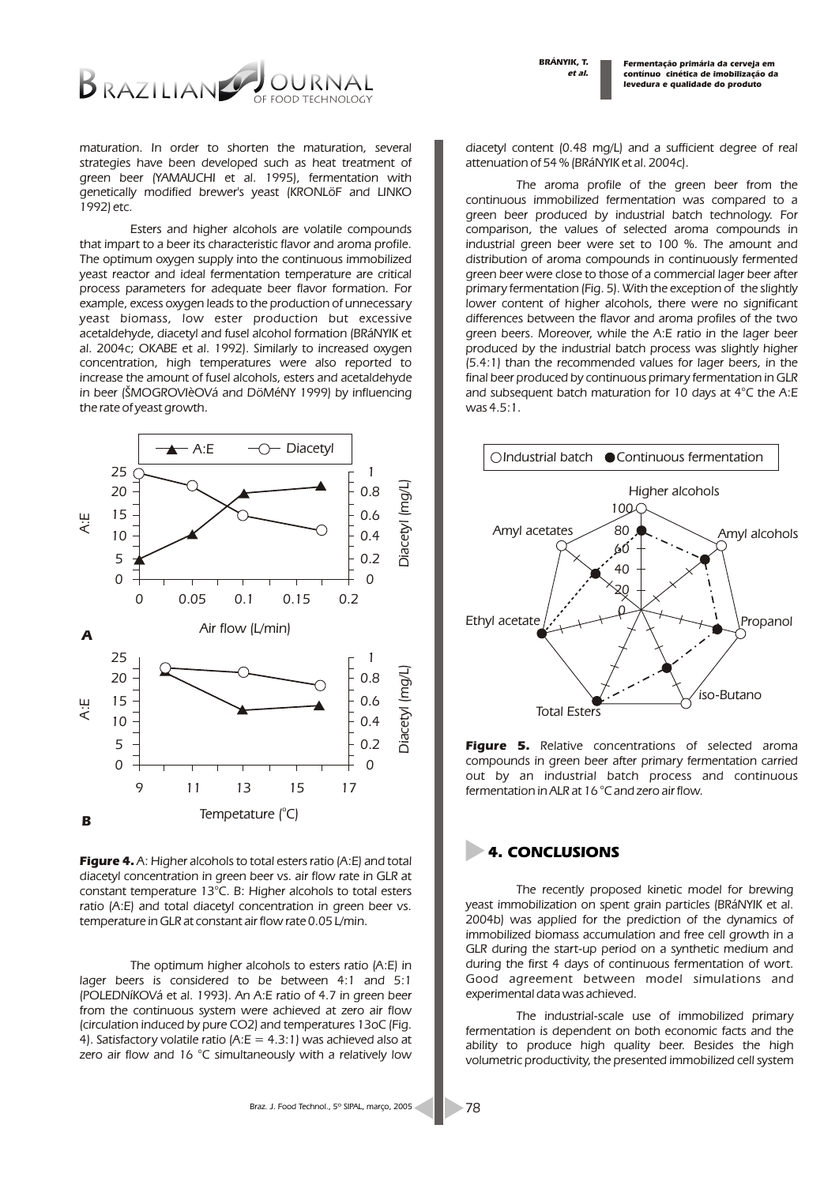*et al. BRÁNYIK, T.*

*Fermentação primária da cerveja em contínuo cinética de imobilização da levedura e qualidade do produto*



*maturation. In order to shorten the maturation, several strategies have been developed such as heat treatment of green beer (YAMAUCHI et al. 1995), fermentation with genetically modified brewer's yeast (KRONLöF and LINKO 1992) etc.*

*Esters and higher alcohols are volatile compounds that impart to a beer its characteristic flavor and aroma profile. The optimum oxygen supply into the continuous immobilized yeast reactor and ideal fermentation temperature are critical process parameters for adequate beer flavor formation. For example, excess oxygen leads to the production of unnecessary yeast biomass, low ester production but excessive acetaldehyde, diacetyl and fusel alcohol formation (BRáNYIK et al. 2004c; OKABE et al. 1992). Similarly to increased oxygen concentration, high temperatures were also reported to increase the amount of fusel alcohols, esters and acetaldehyde in beer (ŠMOGROVIèOVá and DöMéNY 1999) by influencing the rate of yeast growth.*



*Figure 4. A: Higher alcohols to total esters ratio (A:E) and total diacetyl concentration in green beer vs. air flow rate in GLR at constant temperature 13°C. B: Higher alcohols to total esters ratio (A:E) and total diacetyl concentration in green beer vs. temperature in GLR at constant air flow rate 0.05 L/min.*

*The optimum higher alcohols to esters ratio (A:E) in lager beers is considered to be between 4:1 and 5:1 (POLEDNíKOVá et al. 1993). An A:E ratio of 4.7 in green beer from the continuous system were achieved at zero air flow (circulation induced by pure CO2) and temperatures 13oC (Fig. 4). Satisfactory volatile ratio (A:E = 4.3:1) was achieved also at zero air flow and 16 °C simultaneously with a relatively low* 

*diacetyl content (0.48 mg/L) and a sufficient degree of real attenuation of 54 % (BRáNYIK et al. 2004c).* 

*The aroma profile of the green beer from the continuous immobilized fermentation was compared to a green beer produced by industrial batch technology. For comparison, the values of selected aroma compounds in industrial green beer were set to 100 %. The amount and distribution of aroma compounds in continuously fermented green beer were close to those of a commercial lager beer after primary fermentation (Fig. 5). With the exception of the slightly lower content of higher alcohols, there were no significant differences between the flavor and aroma profiles of the two green beers. Moreover, while the A:E ratio in the lager beer produced by the industrial batch process was slightly higher (5.4:1) than the recommended values for lager beers, in the final beer produced by continuous primary fermentation in GLR and subsequent batch maturation for 10 days at 4°C the A:E was 4.5:1.* 



*Figure 5. Relative concentrations of selected aroma compounds in green beer after primary fermentation carried out by an industrial batch process and continuous fermentation in ALR at 16 °C and zero air flow.*

# *4. CONCLUSIONS*

*The recently proposed kinetic model for brewing yeast immobilization on spent grain particles (BRáNYIK et al. 2004b) was applied for the prediction of the dynamics of immobilized biomass accumulation and free cell growth in a GLR during the start-up period on a synthetic medium and during the first 4 days of continuous fermentation of wort. Good agreement between model simulations and experimental data was achieved.*

*The industrial-scale use of immobilized primary fermentation is dependent on both economic facts and the ability to produce high quality beer. Besides the high volumetric productivity, the presented immobilized cell system*